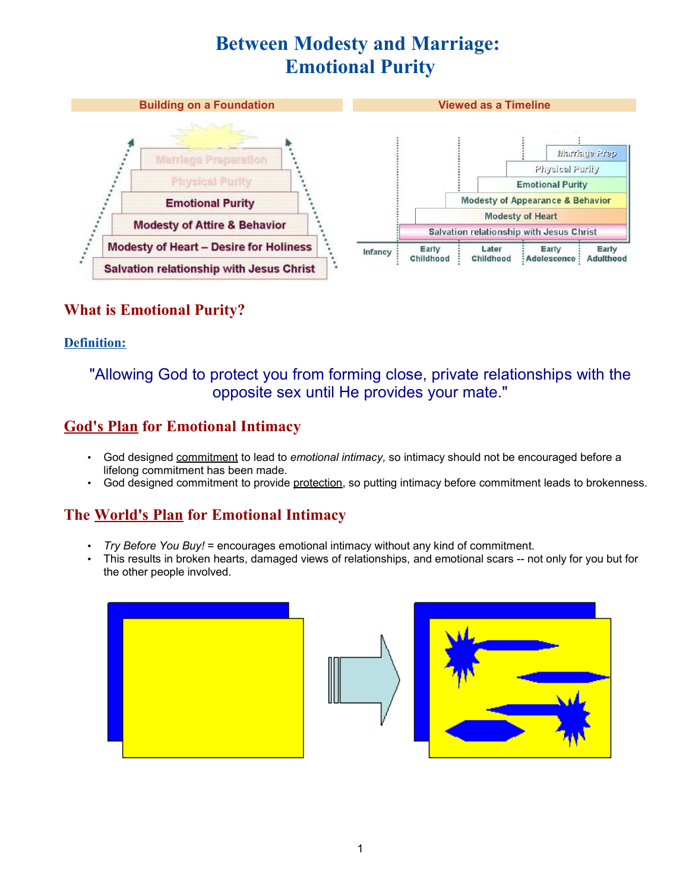# **Between Modesty and Marriage: Emotional Purity**



# **What is Emotional Purity?**

#### **Definition:**

# "Allowing God to protect you from forming close, private relationships with the opposite sex until He provides your mate."

# **God's Plan for Emotional Intimacy**

- God designed commitment to lead to *emotional intimacy,* so intimacy should not be encouraged before a lifelong commitment has been made.
- God designed commitment to provide protection, so putting intimacy before commitment leads to brokenness.

# **The World's Plan for Emotional Intimacy**

- *Try Before You Buy!* = encourages emotional intimacy without any kind of commitment.
- This results in broken hearts, damaged views of relationships, and emotional scars -- not only for you but for the other people involved.





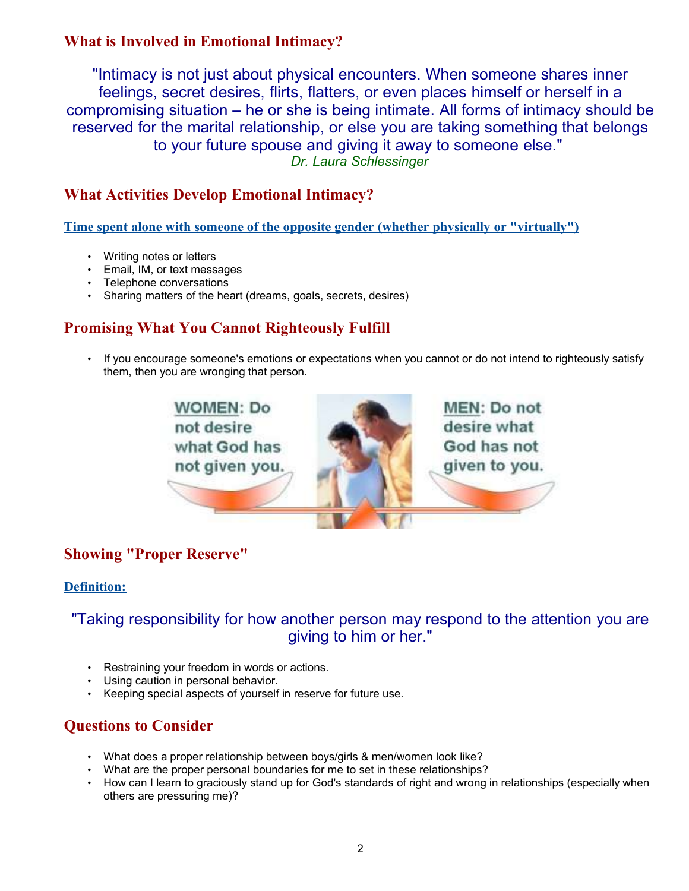# **What is Involved in Emotional Intimacy?**

"Intimacy is not just about physical encounters. When someone shares inner feelings, secret desires, flirts, flatters, or even places himself or herself in a compromising situation – he or she is being intimate. All forms of intimacy should be reserved for the marital relationship, or else you are taking something that belongs to your future spouse and giving it away to someone else." *Dr. Laura Schlessinger*

#### **What Activities Develop Emotional Intimacy?**

**Time spent alone with someone of the opposite gender (whether physically or "virtually")**

- Writing notes or letters
- Email, IM, or text messages
- Telephone conversations
- Sharing matters of the heart (dreams, goals, secrets, desires)

#### **Promising What You Cannot Righteously Fulfill**

• If you encourage someone's emotions or expectations when you cannot or do not intend to righteously satisfy them, then you are wronging that person.



# **Showing "Proper Reserve"**

#### **Definition:**

#### "Taking responsibility for how another person may respond to the attention you are giving to him or her."

- Restraining your freedom in words or actions.
- Using caution in personal behavior.
- Keeping special aspects of yourself in reserve for future use.

#### **Questions to Consider**

- What does a proper relationship between boys/girls & men/women look like?
- What are the proper personal boundaries for me to set in these relationships?
- How can I learn to graciously stand up for God's standards of right and wrong in relationships (especially when others are pressuring me)?